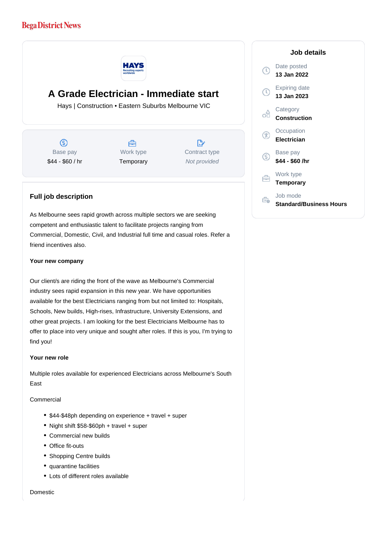## **Bega District News**



# **A Grade Electrician - Immediate start**

Hays | Construction • Eastern Suburbs Melbourne VIC

 $\circ$ Base pay \$44 - \$60 / hr



 $\mathbb{R}^n$ Contract type

Not provided

## **Full job description**

As Melbourne sees rapid growth across multiple sectors we are seeking competent and enthusiastic talent to facilitate projects ranging from Commercial, Domestic, Civil, and Industrial full time and casual roles. Refer a friend incentives also.

#### **Your new company**

Our client/s are riding the front of the wave as Melbourne's Commercial industry sees rapid expansion in this new year. We have opportunities available for the best Electricians ranging from but not limited to: Hospitals, Schools, New builds, High-rises, Infrastructure, University Extensions, and other great projects. I am looking for the best Electricians Melbourne has to offer to place into very unique and sought after roles. If this is you, I'm trying to find you!

#### **Your new role**

Multiple roles available for experienced Electricians across Melbourne's South East

#### Commercial

- \$44-\$48ph depending on experience + travel + super
- Night shift \$58-\$60ph + travel + super
- Commercial new builds
- Office fit-outs
- Shopping Centre builds
- quarantine facilities
- Lots of different roles available

Domestic

### **Job details** Date posted  $\mathbb{C}$ **13 Jan 2022** Expiring date  $\left( 0\right)$ **13 Jan 2023 Category** ofi **Construction Occupation Electrician** Base pay (S) **\$44 - \$60 /hr** Work type 白 **Temporary** Job mode Ê. **Standard/Business Hours**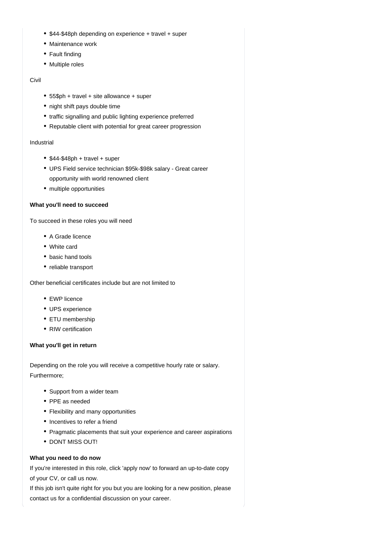- \$44-\$48ph depending on experience + travel + super
- Maintenance work
- Fault finding
- Multiple roles

#### Civil

- 55\$ph + travel + site allowance + super
- night shift pays double time
- traffic signalling and public lighting experience preferred
- Reputable client with potential for great career progression

#### Industrial

- $•$  \$44-\$48ph + travel + super
- UPS Field service technician \$95k-\$98k salary Great career opportunity with world renowned client
- multiple opportunities

#### **What you'll need to succeed**

To succeed in these roles you will need

- A Grade licence
- White card
- basic hand tools
- reliable transport

Other beneficial certificates include but are not limited to

- EWP licence
- UPS experience
- ETU membership
- RIW certification

#### **What you'll get in return**

Depending on the role you will receive a competitive hourly rate or salary. Furthermore;

- Support from a wider team
- PPE as needed
- Flexibility and many opportunities
- Incentives to refer a friend
- Pragmatic placements that suit your experience and career aspirations
- DONT MISS OUT!

### **What you need to do now**

If you're interested in this role, click 'apply now' to forward an up-to-date copy of your CV, or call us now.

If this job isn't quite right for you but you are looking for a new position, please contact us for a confidential discussion on your career.